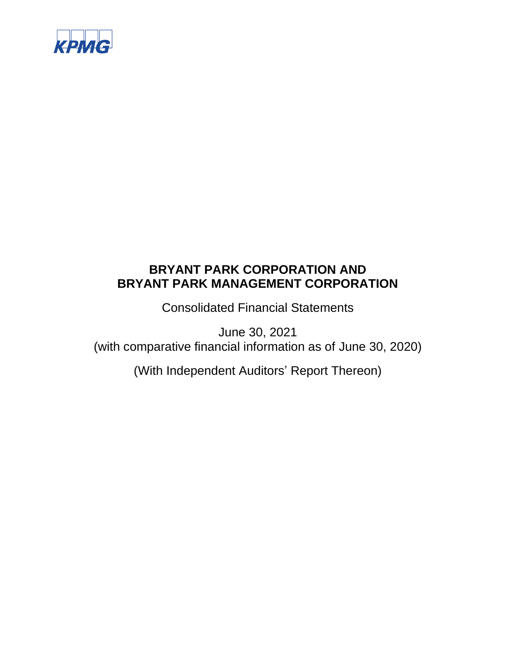

Consolidated Financial Statements

June 30, 2021 (with comparative financial information as of June 30, 2020)

(With Independent Auditors' Report Thereon)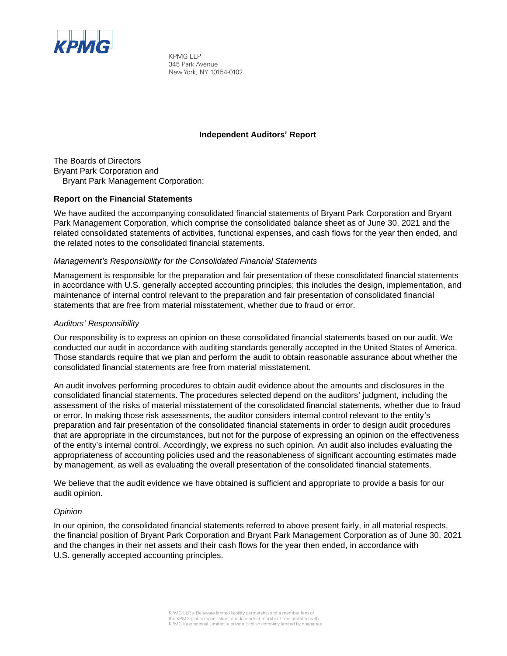

KPMG LLP 345 Park Avenue New York, NY 10154-0102

### **Independent Auditors' Report**

The Boards of Directors Bryant Park Corporation and Bryant Park Management Corporation:

### **Report on the Financial Statements**

We have audited the accompanying consolidated financial statements of Bryant Park Corporation and Bryant Park Management Corporation, which comprise the consolidated balance sheet as of June 30, 2021 and the related consolidated statements of activities, functional expenses, and cash flows for the year then ended, and the related notes to the consolidated financial statements.

### *Management's Responsibility for the Consolidated Financial Statements*

Management is responsible for the preparation and fair presentation of these consolidated financial statements in accordance with U.S. generally accepted accounting principles; this includes the design, implementation, and maintenance of internal control relevant to the preparation and fair presentation of consolidated financial statements that are free from material misstatement, whether due to fraud or error.

### *Auditors' Responsibility*

Our responsibility is to express an opinion on these consolidated financial statements based on our audit. We conducted our audit in accordance with auditing standards generally accepted in the United States of America. Those standards require that we plan and perform the audit to obtain reasonable assurance about whether the consolidated financial statements are free from material misstatement.

An audit involves performing procedures to obtain audit evidence about the amounts and disclosures in the consolidated financial statements. The procedures selected depend on the auditors' judgment, including the assessment of the risks of material misstatement of the consolidated financial statements, whether due to fraud or error. In making those risk assessments, the auditor considers internal control relevant to the entity's preparation and fair presentation of the consolidated financial statements in order to design audit procedures that are appropriate in the circumstances, but not for the purpose of expressing an opinion on the effectiveness of the entity's internal control. Accordingly, we express no such opinion. An audit also includes evaluating the appropriateness of accounting policies used and the reasonableness of significant accounting estimates made by management, as well as evaluating the overall presentation of the consolidated financial statements.

We believe that the audit evidence we have obtained is sufficient and appropriate to provide a basis for our audit opinion.

### *Opinion*

In our opinion, the consolidated financial statements referred to above present fairly, in all material respects, the financial position of Bryant Park Corporation and Bryant Park Management Corporation as of June 30, 2021 and the changes in their net assets and their cash flows for the year then ended, in accordance with U.S. generally accepted accounting principles.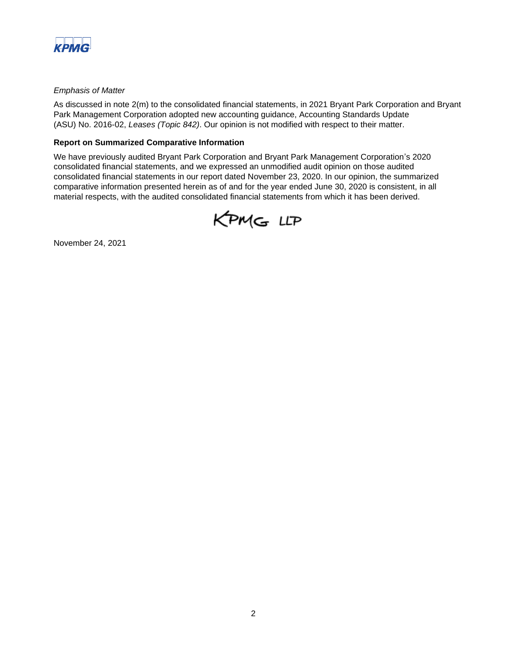

### *Emphasis of Matter*

As discussed in note 2(m) to the consolidated financial statements, in 2021 Bryant Park Corporation and Bryant Park Management Corporation adopted new accounting guidance, Accounting Standards Update (ASU) No. 2016-02, *Leases (Topic 842)*. Our opinion is not modified with respect to their matter.

### **Report on Summarized Comparative Information**

We have previously audited Bryant Park Corporation and Bryant Park Management Corporation's 2020 consolidated financial statements, and we expressed an unmodified audit opinion on those audited consolidated financial statements in our report dated November 23, 2020. In our opinion, the summarized comparative information presented herein as of and for the year ended June 30, 2020 is consistent, in all material respects, with the audited consolidated financial statements from which it has been derived.



November 24, 2021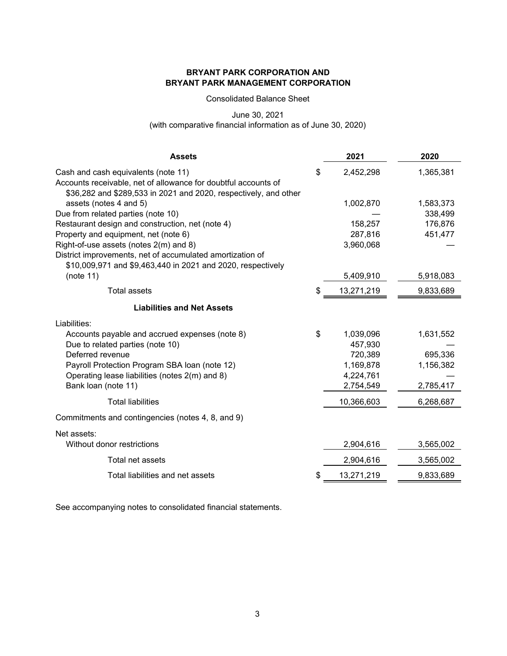#### Consolidated Balance Sheet

### June 30, 2021

(with comparative financial information as of June 30, 2020)

| <b>Assets</b>                                                                                                                                                             | 2021             | 2020      |
|---------------------------------------------------------------------------------------------------------------------------------------------------------------------------|------------------|-----------|
| Cash and cash equivalents (note 11)<br>Accounts receivable, net of allowance for doubtful accounts of<br>\$36,282 and \$289,533 in 2021 and 2020, respectively, and other | \$<br>2,452,298  | 1,365,381 |
| assets (notes 4 and 5)                                                                                                                                                    | 1,002,870        | 1,583,373 |
| Due from related parties (note 10)                                                                                                                                        |                  | 338,499   |
| Restaurant design and construction, net (note 4)                                                                                                                          | 158,257          | 176,876   |
| Property and equipment, net (note 6)                                                                                                                                      | 287,816          | 451,477   |
| Right-of-use assets (notes 2(m) and 8)<br>District improvements, net of accumulated amortization of<br>\$10,009,971 and \$9,463,440 in 2021 and 2020, respectively        | 3,960,068        |           |
| (note 11)                                                                                                                                                                 | 5,409,910        | 5,918,083 |
| <b>Total assets</b>                                                                                                                                                       | \$<br>13,271,219 | 9,833,689 |
| <b>Liabilities and Net Assets</b>                                                                                                                                         |                  |           |
| Liabilities:                                                                                                                                                              |                  |           |
| Accounts payable and accrued expenses (note 8)                                                                                                                            | \$<br>1,039,096  | 1,631,552 |
| Due to related parties (note 10)                                                                                                                                          | 457,930          |           |
| Deferred revenue                                                                                                                                                          | 720,389          | 695,336   |
| Payroll Protection Program SBA loan (note 12)                                                                                                                             | 1,169,878        | 1,156,382 |
| Operating lease liabilities (notes 2(m) and 8)                                                                                                                            | 4,224,761        |           |
| Bank loan (note 11)                                                                                                                                                       | 2,754,549        | 2,785,417 |
| <b>Total liabilities</b>                                                                                                                                                  | 10,366,603       | 6,268,687 |
| Commitments and contingencies (notes 4, 8, and 9)                                                                                                                         |                  |           |
| Net assets:                                                                                                                                                               |                  |           |
| Without donor restrictions                                                                                                                                                | 2,904,616        | 3,565,002 |
| Total net assets                                                                                                                                                          | 2,904,616        | 3,565,002 |
| Total liabilities and net assets                                                                                                                                          | \$<br>13,271,219 | 9,833,689 |
|                                                                                                                                                                           |                  |           |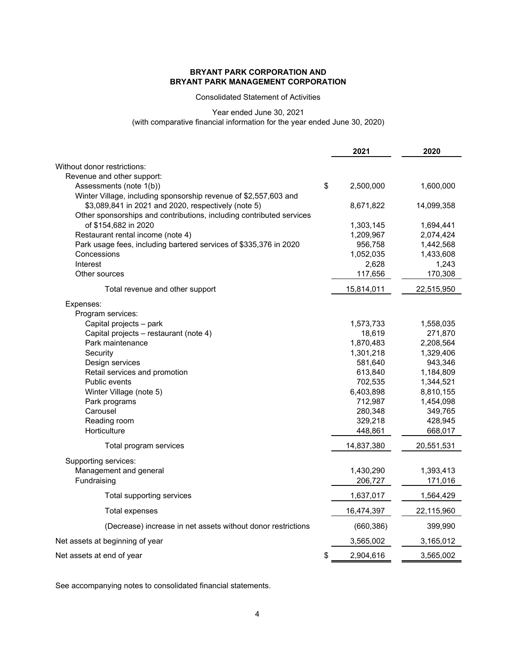Consolidated Statement of Activities

#### Year ended June 30, 2021

(with comparative financial information for the year ended June 30, 2020)

|                                                                      | 2021            | 2020       |
|----------------------------------------------------------------------|-----------------|------------|
| Without donor restrictions:                                          |                 |            |
| Revenue and other support:                                           |                 |            |
| Assessments (note 1(b))                                              | \$<br>2,500,000 | 1,600,000  |
| Winter Village, including sponsorship revenue of \$2,557,603 and     |                 |            |
| \$3,089,841 in 2021 and 2020, respectively (note 5)                  | 8,671,822       | 14,099,358 |
| Other sponsorships and contributions, including contributed services |                 |            |
| of \$154,682 in 2020                                                 | 1,303,145       | 1,694,441  |
| Restaurant rental income (note 4)                                    | 1,209,967       | 2,074,424  |
| Park usage fees, including bartered services of \$335,376 in 2020    | 956,758         | 1,442,568  |
| Concessions                                                          | 1,052,035       | 1,433,608  |
| Interest                                                             | 2,628           | 1,243      |
| Other sources                                                        | 117,656         | 170,308    |
| Total revenue and other support                                      | 15,814,011      | 22,515,950 |
| Expenses:                                                            |                 |            |
| Program services:                                                    |                 |            |
| Capital projects - park                                              | 1,573,733       | 1,558,035  |
| Capital projects - restaurant (note 4)                               | 18,619          | 271,870    |
| Park maintenance                                                     | 1,870,483       | 2,208,564  |
| Security                                                             | 1,301,218       | 1,329,406  |
| Design services                                                      | 581,640         | 943,346    |
| Retail services and promotion                                        | 613,840         | 1,184,809  |
| <b>Public events</b>                                                 | 702,535         | 1,344,521  |
| Winter Village (note 5)                                              | 6,403,898       | 8,810,155  |
| Park programs                                                        | 712,987         | 1,454,098  |
| Carousel                                                             | 280,348         | 349,765    |
| Reading room                                                         | 329,218         | 428,945    |
| Horticulture                                                         | 448,861         | 668,017    |
| Total program services                                               | 14,837,380      | 20,551,531 |
| Supporting services:                                                 |                 |            |
| Management and general                                               | 1,430,290       | 1,393,413  |
| Fundraising                                                          | 206,727         | 171,016    |
| Total supporting services                                            | 1,637,017       | 1,564,429  |
| Total expenses                                                       | 16,474,397      | 22,115,960 |
| (Decrease) increase in net assets without donor restrictions         | (660, 386)      | 399,990    |
| Net assets at beginning of year                                      | 3,565,002       | 3,165,012  |
| Net assets at end of year                                            | \$<br>2,904,616 | 3,565,002  |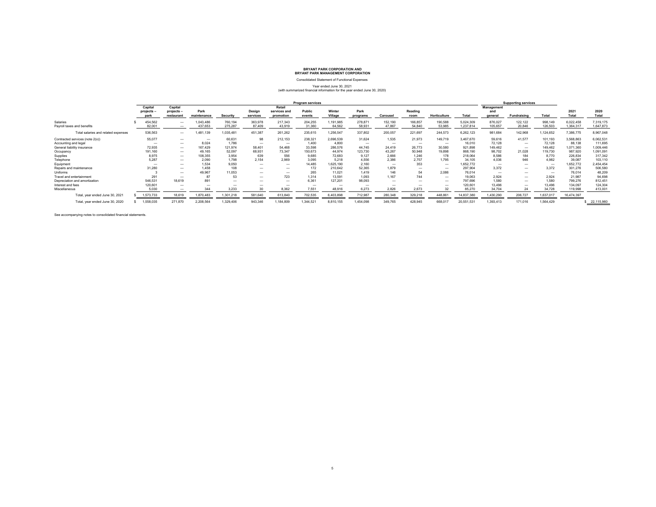Consolidated Statement of Functional Expenses

Year ended June 30, 2021 (with summarized financial information for the year ended June 30, 2020)

|                                                         | Program services |                    |                                                             |                                 |                                                      |                                                      |                                                      |                                   | <b>Supporting services</b>          |                                    |                                    |                   |                                                                    |                        |                                   |                                                      |                                   |                        |                        |
|---------------------------------------------------------|------------------|--------------------|-------------------------------------------------------------|---------------------------------|------------------------------------------------------|------------------------------------------------------|------------------------------------------------------|-----------------------------------|-------------------------------------|------------------------------------|------------------------------------|-------------------|--------------------------------------------------------------------|------------------------|-----------------------------------|------------------------------------------------------|-----------------------------------|------------------------|------------------------|
|                                                         |                  | Capital            | Capital                                                     |                                 |                                                      | Design                                               | Retail                                               |                                   | Winter                              | Park                               |                                    |                   |                                                                    |                        | Management                        |                                                      |                                   | 2021                   | 2020                   |
|                                                         |                  | projects -<br>park | projects -<br>restauran                                     | Park<br>maintenance             | Security                                             | services                                             | services and<br>promotion                            | Public<br>events                  | Village                             | programs                           | Carousel                           | Reading<br>room   | Horticulture                                                       | Total                  | and<br>general                    | Fundraising                                          | Total                             | Total                  | <b>Total</b>           |
| Salaries<br>Pavroll taxes and benefits                  |                  | 454.562<br>82.001  | $\overline{\phantom{a}}$<br>$\overline{\phantom{a}}$        | 1,043,486<br>437.653            | 760.194<br>275.287                                   | 363,978<br>87.409                                    | 217,343<br>43.91                                     | 204,255<br>31,360                 | .191,985<br>64.562                  | 278,871<br>58.931                  | 152,190<br>47.867                  | 166,857<br>54.840 | 190,588<br>53.985                                                  | 5,024,309<br>1.237.814 | 876.027<br>105.657                | 122,122<br>20.846                                    | 998,149<br>126.503                | 6,022,458<br>1.364.317 | 7,319,175<br>1,647,873 |
| Total salaries and related expenses                     |                  | 536,563            | $\overline{\phantom{a}}$                                    | ,481,139                        | 1,035,481                                            | 451,387                                              | 261,262                                              | 235,615                           | 1,256,547                           | 337,802                            | 200,057                            | 221,697           | 244.573                                                            | 6,262,123              | 981,684                           | 142,968                                              | 1,124,652                         | 386,775                | 8,967,048              |
| Contracted services (note 2(o))<br>Accounting and legal |                  | 55,077             | $\overline{\phantom{a}}$<br>$\overline{\phantom{a}}$        | 8,024                           | 60,631<br>1,786                                      | 98<br>$\overline{\phantom{a}}$                       | 212,153                                              | 238,321<br>1,400                  | 2,696,539<br>4,800                  | 31.624<br>$\overline{\phantom{a}}$ | 1.535<br>$\sim$                    | 21,973<br>$\sim$  | 149,719<br>$\overline{\phantom{a}}$                                | 3,467,670<br>16,010    | 59,616<br>72.128                  | 41.577<br>$\overline{\phantom{a}}$                   | 101,193<br>72,128                 | 3,568,863<br>88,138    | 6,062,531<br>111,695   |
| General liability insurance<br>Occupancy                |                  | 72,935<br>191,160  | $\overline{\phantom{a}}$<br>$\hspace{0.1mm}-\hspace{0.1mm}$ | 167.429<br>49,165               | 121,974<br>52,097                                    | 58,401<br>68,931                                     | 54,468<br>73,347                                     | 33,598<br>150,673                 | 286,576<br>44.974                   | 44.745<br>123,730                  | 24,419<br>43,267                   | 26,773<br>50,948  | 30,580<br>19,898                                                   | 921,898<br>868,190     | 149,462<br>98,702                 | $\overline{\phantom{0}}$<br>21,028                   | 149,462<br>119,730                | 1,071,360<br>987,920   | 1,009,446<br>1,091,091 |
| Supplies<br>Telephone                                   |                  | 8,975<br>5.287     | $\hspace{0.1mm}-\hspace{0.1mm}$<br>$\overline{\phantom{a}}$ | 108,355<br>2,090                | 3,954<br>1,798                                       | 639<br>2,154                                         | 556<br>2,969                                         | 9,685<br>3,095                    | 72,683<br>5,218                     | 9,127<br>4,556                     | 2,666<br>2,386                     | 1,246<br>2,757    | 178<br>1,795                                                       | 218,064<br>34,105      | 8,586<br>4,036                    | 184<br>946                                           | 8,770<br>4,982                    | 226,834<br>39,087      | 317,342<br>103,110     |
| Equipment<br>Repairs and maintenance                    |                  | 31.280             | $\overline{\phantom{a}}$<br>$\overline{\phantom{a}}$        | 1,534<br>1,458                  | 9,050<br>108                                         | $\overline{\phantom{a}}$<br>$\overline{\phantom{a}}$ | $\overline{\phantom{a}}$<br>$\overline{\phantom{a}}$ | 14,485<br>172                     | 1,625,190<br>210,642                | 2,160<br>52,365                    | $\sim$<br>1.879                    | 353<br>$\sim$     | $\hspace{0.1mm}-\hspace{0.1mm}$<br>$\hspace{0.1mm}-\hspace{0.1mm}$ | 1,652,772<br>297,904   | 3,372                             | $\overline{\phantom{a}}$<br>$\overline{\phantom{a}}$ | $\overline{\phantom{a}}$<br>3,372 | 652,772<br>301,276     | 2,454,454<br>506,580   |
| Uniforms<br>Travel and entertainment                    |                  |                    | $\overline{\phantom{a}}$<br>$\overline{\phantom{a}}$        | 49,967<br>87                    | 11,053<br>53                                         | $\overline{\phantom{a}}$<br>$\overline{\phantom{a}}$ | $\overline{\phantom{a}}$<br>723                      | 265<br>1,314                      | 11,021<br>13.591                    | 1,419<br>1.093                     | 146<br>1.167                       | 54<br>744         | 2,086<br>$\hspace{0.1mm}-\hspace{0.1mm}$                           | 76,014<br>19,063       | $\overline{\phantom{a}}$<br>2.924 | $\overline{\phantom{a}}$<br>$\overline{\phantom{a}}$ | $\overline{\phantom{a}}$<br>2,924 | 76,014<br>21,987       | 48,209<br>94,698       |
| Depreciation and amortization<br>Interest and fees      |                  | 546,53<br>120.60   | 18,619<br>$\overline{\phantom{a}}$                          | 891<br>$\overline{\phantom{a}}$ | $\overline{\phantom{a}}$<br>$\overline{\phantom{a}}$ | $\overline{\phantom{a}}$                             | $\overline{\phantom{a}}$<br>-                        | 6,361<br>$\overline{\phantom{a}}$ | 127,201<br>$\overline{\phantom{a}}$ | 98,093<br>$\overline{\phantom{a}}$ | $\overline{\phantom{a}}$<br>$\sim$ |                   | $\hspace{0.1mm}-\hspace{0.1mm}$<br>$\overline{\phantom{a}}$        | 797,696<br>120.60      | 1,580<br>13,496                   | $\overline{\phantom{a}}$<br>$\overline{\phantom{a}}$ | 1,580<br>13.496                   | 799,276<br>134.097     | 812.451<br>124.304     |
| Miscellaneous<br>Total, year ended June 30, 2021        |                  | 5,030<br>1,573,733 | 18.619                                                      | 344<br>1.870.483                | 3.233<br>1.301.218                                   | 581,640                                              | 8.362<br>613,840                                     | 7,551<br>702.535                  | 48,916<br>6,403,898                 | 6.273<br>712.987                   | 2,826<br>280,348                   | 2,673<br>329.218  | 32<br>448.86                                                       | 85,270<br>14.837.380   | 34.704<br>1.430.290               | 206.727                                              | 34,728<br>1.637.017               | 119,998<br>16.474.397  | 413,001                |
| Total, year ended June 30, 2020                         |                  | 1,558,035          | 271.870                                                     | 2,208,564                       | 1.329.406                                            | 943,346                                              | 1,184,809                                            | 1,344,521                         | 8,810,155                           | 1.454.098                          | 349.765                            | 428,945           | 668.01                                                             | 20,551,531             | 1,393,413                         | 171,016                                              | 1.564.429                         |                        | 22,115,960             |

5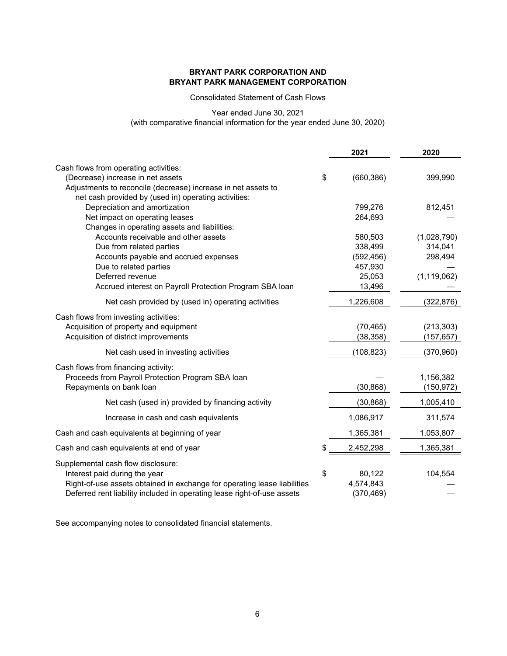Consolidated Statement of Cash Flows

### Year ended June 30, 2021

(with comparative financial information for the year ended June 30, 2020)

|                                                                          | 2021             | 2020          |
|--------------------------------------------------------------------------|------------------|---------------|
| Cash flows from operating activities:                                    |                  |               |
| (Decrease) increase in net assets                                        | \$<br>(660, 386) | 399,990       |
| Adjustments to reconcile (decrease) increase in net assets to            |                  |               |
| net cash provided by (used in) operating activities:                     |                  |               |
| Depreciation and amortization                                            | 799,276          | 812,451       |
| Net impact on operating leases                                           | 264,693          |               |
| Changes in operating assets and liabilities:                             |                  |               |
| Accounts receivable and other assets                                     | 580,503          | (1,028,790)   |
| Due from related parties                                                 | 338,499          | 314,041       |
| Accounts payable and accrued expenses                                    | (592, 456)       | 298,494       |
| Due to related parties                                                   | 457,930          |               |
| Deferred revenue                                                         | 25,053           | (1, 119, 062) |
| Accrued interest on Payroll Protection Program SBA loan                  | 13,496           |               |
| Net cash provided by (used in) operating activities                      | 1,226,608        | (322, 876)    |
| Cash flows from investing activities:                                    |                  |               |
| Acquisition of property and equipment                                    | (70, 465)        | (213, 303)    |
| Acquisition of district improvements                                     | (38, 358)        | (157, 657)    |
| Net cash used in investing activities                                    | (108, 823)       | (370, 960)    |
| Cash flows from financing activity:                                      |                  |               |
| Proceeds from Payroll Protection Program SBA loan                        |                  | 1,156,382     |
| Repayments on bank loan                                                  | (30, 868)        | (150, 972)    |
|                                                                          |                  |               |
| Net cash (used in) provided by financing activity                        | (30, 868)        | 1,005,410     |
| Increase in cash and cash equivalents                                    | 1,086,917        | 311,574       |
| Cash and cash equivalents at beginning of year                           | 1,365,381        | 1,053,807     |
| Cash and cash equivalents at end of year                                 | \$<br>2,452,298  | 1,365,381     |
| Supplemental cash flow disclosure:                                       |                  |               |
| Interest paid during the year                                            | \$<br>80,122     | 104,554       |
| Right-of-use assets obtained in exchange for operating lease liabilities | 4,574,843        |               |
| Deferred rent liability included in operating lease right-of-use assets  | (370, 469)       |               |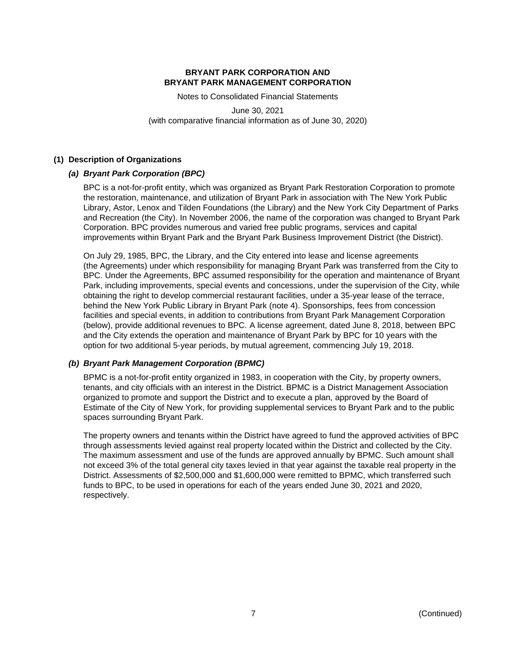Notes to Consolidated Financial Statements

June 30, 2021 (with comparative financial information as of June 30, 2020)

### **(1) Description of Organizations**

### *(a) Bryant Park Corporation (BPC)*

BPC is a not-for-profit entity, which was organized as Bryant Park Restoration Corporation to promote the restoration, maintenance, and utilization of Bryant Park in association with The New York Public Library, Astor, Lenox and Tilden Foundations (the Library) and the New York City Department of Parks and Recreation (the City). In November 2006, the name of the corporation was changed to Bryant Park Corporation. BPC provides numerous and varied free public programs, services and capital improvements within Bryant Park and the Bryant Park Business Improvement District (the District).

On July 29, 1985, BPC, the Library, and the City entered into lease and license agreements (the Agreements) under which responsibility for managing Bryant Park was transferred from the City to BPC. Under the Agreements, BPC assumed responsibility for the operation and maintenance of Bryant Park, including improvements, special events and concessions, under the supervision of the City, while obtaining the right to develop commercial restaurant facilities, under a 35-year lease of the terrace, behind the New York Public Library in Bryant Park (note 4). Sponsorships, fees from concession facilities and special events, in addition to contributions from Bryant Park Management Corporation (below), provide additional revenues to BPC. A license agreement, dated June 8, 2018, between BPC and the City extends the operation and maintenance of Bryant Park by BPC for 10 years with the option for two additional 5-year periods, by mutual agreement, commencing July 19, 2018.

### *(b) Bryant Park Management Corporation (BPMC)*

BPMC is a not-for-profit entity organized in 1983, in cooperation with the City, by property owners, tenants, and city officials with an interest in the District. BPMC is a District Management Association organized to promote and support the District and to execute a plan, approved by the Board of Estimate of the City of New York, for providing supplemental services to Bryant Park and to the public spaces surrounding Bryant Park.

The property owners and tenants within the District have agreed to fund the approved activities of BPC through assessments levied against real property located within the District and collected by the City. The maximum assessment and use of the funds are approved annually by BPMC. Such amount shall not exceed 3% of the total general city taxes levied in that year against the taxable real property in the District. Assessments of \$2,500,000 and \$1,600,000 were remitted to BPMC, which transferred such funds to BPC, to be used in operations for each of the years ended June 30, 2021 and 2020, respectively.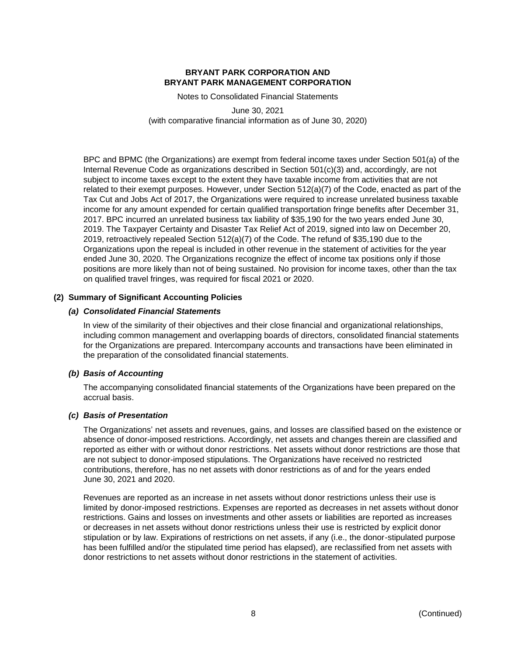Notes to Consolidated Financial Statements

June 30, 2021 (with comparative financial information as of June 30, 2020)

BPC and BPMC (the Organizations) are exempt from federal income taxes under Section 501(a) of the Internal Revenue Code as organizations described in Section 501(c)(3) and, accordingly, are not subject to income taxes except to the extent they have taxable income from activities that are not related to their exempt purposes. However, under Section 512(a)(7) of the Code, enacted as part of the Tax Cut and Jobs Act of 2017, the Organizations were required to increase unrelated business taxable income for any amount expended for certain qualified transportation fringe benefits after December 31, 2017. BPC incurred an unrelated business tax liability of \$35,190 for the two years ended June 30, 2019. The Taxpayer Certainty and Disaster Tax Relief Act of 2019, signed into law on December 20, 2019, retroactively repealed Section 512(a)(7) of the Code. The refund of \$35,190 due to the Organizations upon the repeal is included in other revenue in the statement of activities for the year ended June 30, 2020. The Organizations recognize the effect of income tax positions only if those positions are more likely than not of being sustained. No provision for income taxes, other than the tax on qualified travel fringes, was required for fiscal 2021 or 2020.

### **(2) Summary of Significant Accounting Policies**

### *(a) Consolidated Financial Statements*

In view of the similarity of their objectives and their close financial and organizational relationships, including common management and overlapping boards of directors, consolidated financial statements for the Organizations are prepared. Intercompany accounts and transactions have been eliminated in the preparation of the consolidated financial statements.

# *(b) Basis of Accounting*

The accompanying consolidated financial statements of the Organizations have been prepared on the accrual basis.

### *(c) Basis of Presentation*

The Organizations' net assets and revenues, gains, and losses are classified based on the existence or absence of donor-imposed restrictions. Accordingly, net assets and changes therein are classified and reported as either with or without donor restrictions. Net assets without donor restrictions are those that are not subject to donor-imposed stipulations. The Organizations have received no restricted contributions, therefore, has no net assets with donor restrictions as of and for the years ended June 30, 2021 and 2020.

Revenues are reported as an increase in net assets without donor restrictions unless their use is limited by donor-imposed restrictions. Expenses are reported as decreases in net assets without donor restrictions. Gains and losses on investments and other assets or liabilities are reported as increases or decreases in net assets without donor restrictions unless their use is restricted by explicit donor stipulation or by law. Expirations of restrictions on net assets, if any (i.e., the donor-stipulated purpose has been fulfilled and/or the stipulated time period has elapsed), are reclassified from net assets with donor restrictions to net assets without donor restrictions in the statement of activities.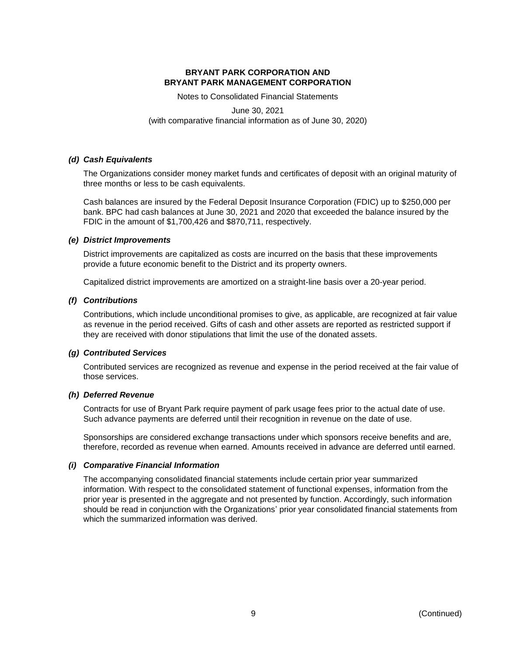Notes to Consolidated Financial Statements

June 30, 2021 (with comparative financial information as of June 30, 2020)

### *(d) Cash Equivalents*

The Organizations consider money market funds and certificates of deposit with an original maturity of three months or less to be cash equivalents.

Cash balances are insured by the Federal Deposit Insurance Corporation (FDIC) up to \$250,000 per bank. BPC had cash balances at June 30, 2021 and 2020 that exceeded the balance insured by the FDIC in the amount of \$1,700,426 and \$870,711, respectively.

#### *(e) District Improvements*

District improvements are capitalized as costs are incurred on the basis that these improvements provide a future economic benefit to the District and its property owners.

Capitalized district improvements are amortized on a straight-line basis over a 20-year period.

#### *(f) Contributions*

Contributions, which include unconditional promises to give, as applicable, are recognized at fair value as revenue in the period received. Gifts of cash and other assets are reported as restricted support if they are received with donor stipulations that limit the use of the donated assets.

### *(g) Contributed Services*

Contributed services are recognized as revenue and expense in the period received at the fair value of those services.

### *(h) Deferred Revenue*

Contracts for use of Bryant Park require payment of park usage fees prior to the actual date of use. Such advance payments are deferred until their recognition in revenue on the date of use.

Sponsorships are considered exchange transactions under which sponsors receive benefits and are, therefore, recorded as revenue when earned. Amounts received in advance are deferred until earned.

### *(i) Comparative Financial Information*

The accompanying consolidated financial statements include certain prior year summarized information. With respect to the consolidated statement of functional expenses, information from the prior year is presented in the aggregate and not presented by function. Accordingly, such information should be read in conjunction with the Organizations' prior year consolidated financial statements from which the summarized information was derived.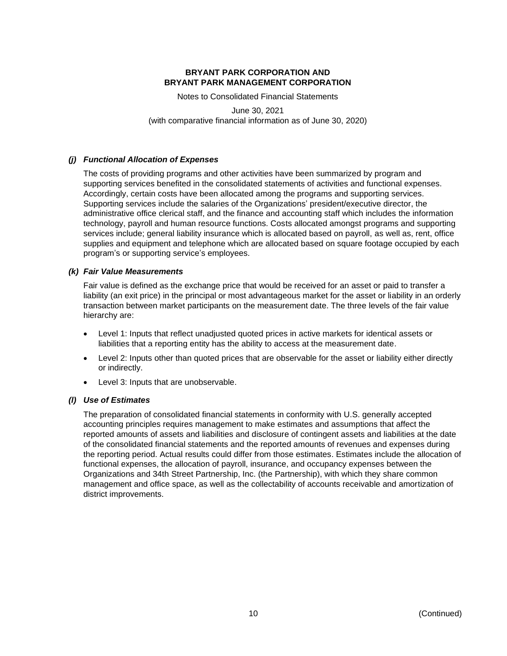Notes to Consolidated Financial Statements

June 30, 2021 (with comparative financial information as of June 30, 2020)

# *(j) Functional Allocation of Expenses*

The costs of providing programs and other activities have been summarized by program and supporting services benefited in the consolidated statements of activities and functional expenses. Accordingly, certain costs have been allocated among the programs and supporting services. Supporting services include the salaries of the Organizations' president/executive director, the administrative office clerical staff, and the finance and accounting staff which includes the information technology, payroll and human resource functions. Costs allocated amongst programs and supporting services include; general liability insurance which is allocated based on payroll, as well as, rent, office supplies and equipment and telephone which are allocated based on square footage occupied by each program's or supporting service's employees.

### *(k) Fair Value Measurements*

Fair value is defined as the exchange price that would be received for an asset or paid to transfer a liability (an exit price) in the principal or most advantageous market for the asset or liability in an orderly transaction between market participants on the measurement date. The three levels of the fair value hierarchy are:

- Level 1: Inputs that reflect unadjusted quoted prices in active markets for identical assets or liabilities that a reporting entity has the ability to access at the measurement date.
- Level 2: Inputs other than quoted prices that are observable for the asset or liability either directly or indirectly.
- Level 3: Inputs that are unobservable.

### *(l) Use of Estimates*

The preparation of consolidated financial statements in conformity with U.S. generally accepted accounting principles requires management to make estimates and assumptions that affect the reported amounts of assets and liabilities and disclosure of contingent assets and liabilities at the date of the consolidated financial statements and the reported amounts of revenues and expenses during the reporting period. Actual results could differ from those estimates. Estimates include the allocation of functional expenses, the allocation of payroll, insurance, and occupancy expenses between the Organizations and 34th Street Partnership, Inc. (the Partnership), with which they share common management and office space, as well as the collectability of accounts receivable and amortization of district improvements.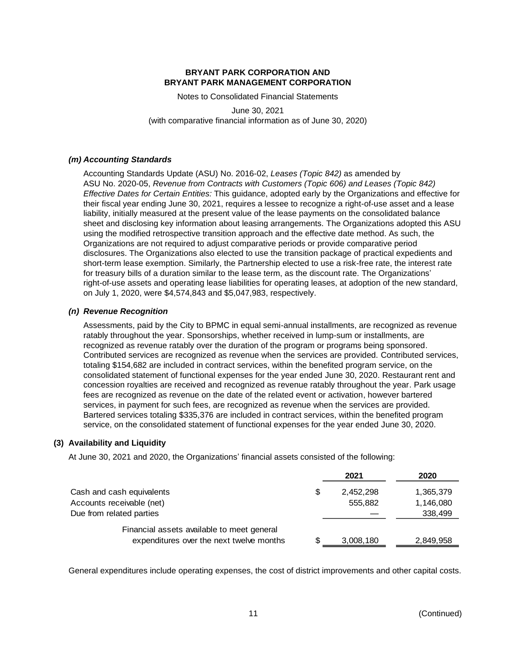Notes to Consolidated Financial Statements

June 30, 2021 (with comparative financial information as of June 30, 2020)

### *(m) Accounting Standards*

Accounting Standards Update (ASU) No. 2016-02, *Leases (Topic 842)* as amended by ASU No. 2020-05, *Revenue from Contracts with Customers (Topic 606) and Leases (Topic 842) Effective Dates for Certain Entities:* This guidance, adopted early by the Organizations and effective for their fiscal year ending June 30, 2021, requires a lessee to recognize a right-of-use asset and a lease liability, initially measured at the present value of the lease payments on the consolidated balance sheet and disclosing key information about leasing arrangements. The Organizations adopted this ASU using the modified retrospective transition approach and the effective date method. As such, the Organizations are not required to adjust comparative periods or provide comparative period disclosures. The Organizations also elected to use the transition package of practical expedients and short-term lease exemption. Similarly, the Partnership elected to use a risk-free rate, the interest rate for treasury bills of a duration similar to the lease term, as the discount rate. The Organizations' right-of-use assets and operating lease liabilities for operating leases, at adoption of the new standard, on July 1, 2020, were \$4,574,843 and \$5,047,983, respectively.

### *(n) Revenue Recognition*

Assessments, paid by the City to BPMC in equal semi-annual installments, are recognized as revenue ratably throughout the year. Sponsorships, whether received in lump-sum or installments, are recognized as revenue ratably over the duration of the program or programs being sponsored. Contributed services are recognized as revenue when the services are provided. Contributed services, totaling \$154,682 are included in contract services, within the benefited program service, on the consolidated statement of functional expenses for the year ended June 30, 2020. Restaurant rent and concession royalties are received and recognized as revenue ratably throughout the year. Park usage fees are recognized as revenue on the date of the related event or activation, however bartered services, in payment for such fees, are recognized as revenue when the services are provided. Bartered services totaling \$335,376 are included in contract services, within the benefited program service, on the consolidated statement of functional expenses for the year ended June 30, 2020.

### **(3) Availability and Liquidity**

At June 30, 2021 and 2020, the Organizations' financial assets consisted of the following:

|                                            |   | 2021      | 2020      |
|--------------------------------------------|---|-----------|-----------|
| Cash and cash equivalents                  | S | 2,452,298 | 1,365,379 |
| Accounts receivable (net)                  |   | 555,882   | 1,146,080 |
| Due from related parties                   |   |           | 338,499   |
| Financial assets available to meet general |   |           |           |
| expenditures over the next twelve months   |   | 3,008,180 | 2,849,958 |

General expenditures include operating expenses, the cost of district improvements and other capital costs.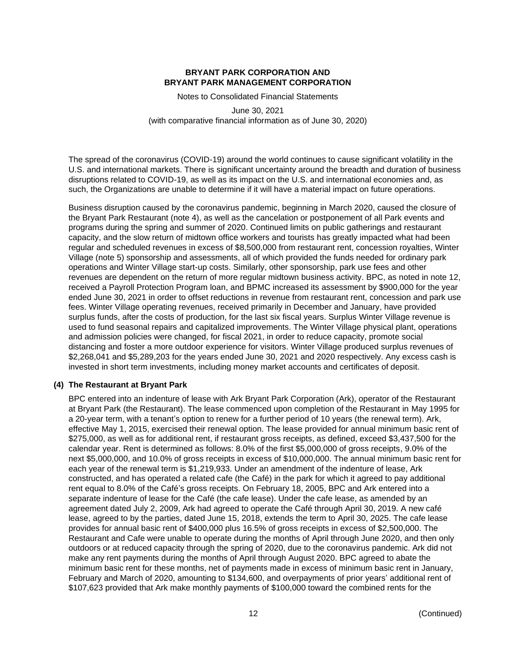Notes to Consolidated Financial Statements

June 30, 2021 (with comparative financial information as of June 30, 2020)

The spread of the coronavirus (COVID-19) around the world continues to cause significant volatility in the U.S. and international markets. There is significant uncertainty around the breadth and duration of business disruptions related to COVID-19, as well as its impact on the U.S. and international economies and, as such, the Organizations are unable to determine if it will have a material impact on future operations.

Business disruption caused by the coronavirus pandemic, beginning in March 2020, caused the closure of the Bryant Park Restaurant (note 4), as well as the cancelation or postponement of all Park events and programs during the spring and summer of 2020. Continued limits on public gatherings and restaurant capacity, and the slow return of midtown office workers and tourists has greatly impacted what had been regular and scheduled revenues in excess of \$8,500,000 from restaurant rent, concession royalties, Winter Village (note 5) sponsorship and assessments, all of which provided the funds needed for ordinary park operations and Winter Village start-up costs. Similarly, other sponsorship, park use fees and other revenues are dependent on the return of more regular midtown business activity. BPC, as noted in note 12, received a Payroll Protection Program loan, and BPMC increased its assessment by \$900,000 for the year ended June 30, 2021 in order to offset reductions in revenue from restaurant rent, concession and park use fees. Winter Village operating revenues, received primarily in December and January, have provided surplus funds, after the costs of production, for the last six fiscal years. Surplus Winter Village revenue is used to fund seasonal repairs and capitalized improvements. The Winter Village physical plant, operations and admission policies were changed, for fiscal 2021, in order to reduce capacity, promote social distancing and foster a more outdoor experience for visitors. Winter Village produced surplus revenues of \$2,268,041 and \$5,289,203 for the years ended June 30, 2021 and 2020 respectively. Any excess cash is invested in short term investments, including money market accounts and certificates of deposit.

# **(4) The Restaurant at Bryant Park**

BPC entered into an indenture of lease with Ark Bryant Park Corporation (Ark), operator of the Restaurant at Bryant Park (the Restaurant). The lease commenced upon completion of the Restaurant in May 1995 for a 20-year term, with a tenant's option to renew for a further period of 10 years (the renewal term). Ark, effective May 1, 2015, exercised their renewal option. The lease provided for annual minimum basic rent of \$275,000, as well as for additional rent, if restaurant gross receipts, as defined, exceed \$3,437,500 for the calendar year. Rent is determined as follows: 8.0% of the first \$5,000,000 of gross receipts, 9.0% of the next \$5,000,000, and 10.0% of gross receipts in excess of \$10,000,000. The annual minimum basic rent for each year of the renewal term is \$1,219,933. Under an amendment of the indenture of lease, Ark constructed, and has operated a related cafe (the Café) in the park for which it agreed to pay additional rent equal to 8.0% of the Café's gross receipts. On February 18, 2005, BPC and Ark entered into a separate indenture of lease for the Café (the cafe lease). Under the cafe lease, as amended by an agreement dated July 2, 2009, Ark had agreed to operate the Café through April 30, 2019. A new café lease, agreed to by the parties, dated June 15, 2018, extends the term to April 30, 2025. The cafe lease provides for annual basic rent of \$400,000 plus 16.5% of gross receipts in excess of \$2,500,000. The Restaurant and Cafe were unable to operate during the months of April through June 2020, and then only outdoors or at reduced capacity through the spring of 2020, due to the coronavirus pandemic. Ark did not make any rent payments during the months of April through August 2020. BPC agreed to abate the minimum basic rent for these months, net of payments made in excess of minimum basic rent in January, February and March of 2020, amounting to \$134,600, and overpayments of prior years' additional rent of \$107,623 provided that Ark make monthly payments of \$100,000 toward the combined rents for the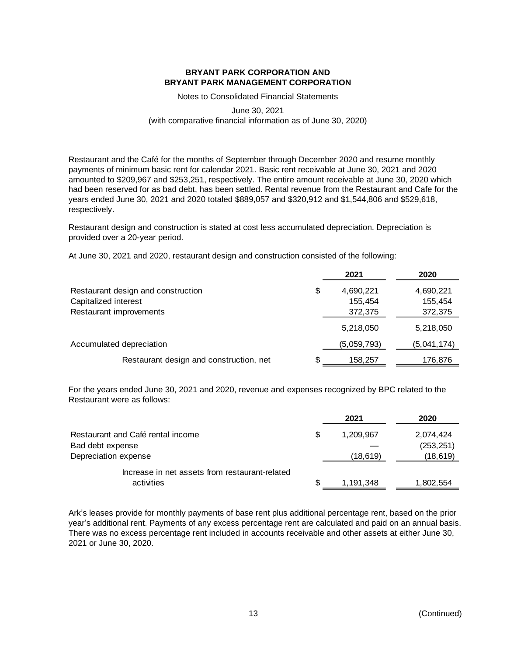Notes to Consolidated Financial Statements

# June 30, 2021 (with comparative financial information as of June 30, 2020)

Restaurant and the Café for the months of September through December 2020 and resume monthly payments of minimum basic rent for calendar 2021. Basic rent receivable at June 30, 2021 and 2020 amounted to \$209,967 and \$253,251, respectively. The entire amount receivable at June 30, 2020 which had been reserved for as bad debt, has been settled. Rental revenue from the Restaurant and Cafe for the years ended June 30, 2021 and 2020 totaled \$889,057 and \$320,912 and \$1,544,806 and \$529,618, respectively.

Restaurant design and construction is stated at cost less accumulated depreciation. Depreciation is provided over a 20-year period.

At June 30, 2021 and 2020, restaurant design and construction consisted of the following:

|                                         |    | 2021        | 2020        |
|-----------------------------------------|----|-------------|-------------|
| Restaurant design and construction      | \$ | 4,690,221   | 4,690,221   |
| Capitalized interest                    |    | 155,454     | 155,454     |
| Restaurant improvements                 |    | 372,375     | 372,375     |
|                                         |    | 5,218,050   | 5,218,050   |
| Accumulated depreciation                |    | (5,059,793) | (5,041,174) |
| Restaurant design and construction, net | S. | 158,257     | 176,876     |

For the years ended June 30, 2021 and 2020, revenue and expenses recognized by BPC related to the Restaurant were as follows:

|                                                |   | 2021      | 2020       |
|------------------------------------------------|---|-----------|------------|
| Restaurant and Café rental income              | S | 1,209,967 | 2,074,424  |
| Bad debt expense                               |   |           | (253, 251) |
| Depreciation expense                           |   | (18, 619) | (18, 619)  |
| Increase in net assets from restaurant-related |   |           |            |
| activities                                     |   | 1,191,348 | 1,802,554  |

Ark's leases provide for monthly payments of base rent plus additional percentage rent, based on the prior year's additional rent. Payments of any excess percentage rent are calculated and paid on an annual basis. There was no excess percentage rent included in accounts receivable and other assets at either June 30, 2021 or June 30, 2020.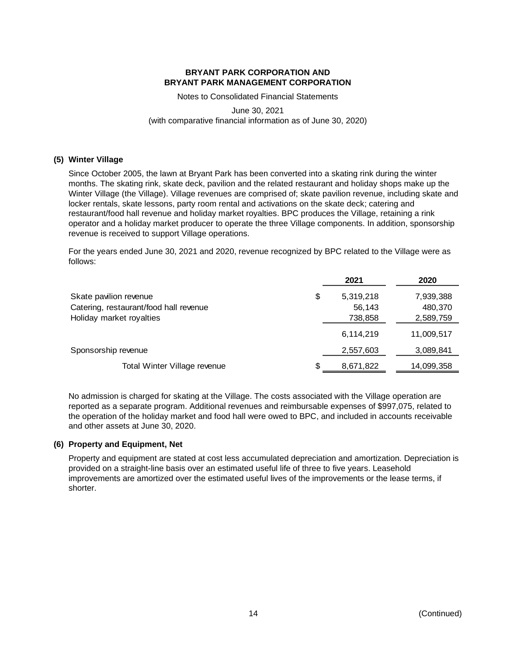Notes to Consolidated Financial Statements

June 30, 2021 (with comparative financial information as of June 30, 2020)

### **(5) Winter Village**

Since October 2005, the lawn at Bryant Park has been converted into a skating rink during the winter months. The skating rink, skate deck, pavilion and the related restaurant and holiday shops make up the Winter Village (the Village). Village revenues are comprised of; skate pavilion revenue, including skate and locker rentals, skate lessons, party room rental and activations on the skate deck; catering and restaurant/food hall revenue and holiday market royalties. BPC produces the Village, retaining a rink operator and a holiday market producer to operate the three Village components. In addition, sponsorship revenue is received to support Village operations.

For the years ended June 30, 2021 and 2020, revenue recognized by BPC related to the Village were as follows:

|                                        |    | 2021      | 2020       |
|----------------------------------------|----|-----------|------------|
| Skate pavilion revenue                 | \$ | 5,319,218 | 7,939,388  |
| Catering, restaurant/food hall revenue |    | 56,143    | 480,370    |
| Holiday market royalties               |    | 738,858   | 2,589,759  |
|                                        |    | 6.114.219 | 11,009,517 |
| Sponsorship revenue                    |    | 2,557,603 | 3,089,841  |
| Total Winter Village revenue           | S. | 8,671,822 | 14,099,358 |

No admission is charged for skating at the Village. The costs associated with the Village operation are reported as a separate program. Additional revenues and reimbursable expenses of \$997,075, related to the operation of the holiday market and food hall were owed to BPC, and included in accounts receivable and other assets at June 30, 2020.

# **(6) Property and Equipment, Net**

Property and equipment are stated at cost less accumulated depreciation and amortization. Depreciation is provided on a straight-line basis over an estimated useful life of three to five years. Leasehold improvements are amortized over the estimated useful lives of the improvements or the lease terms, if shorter.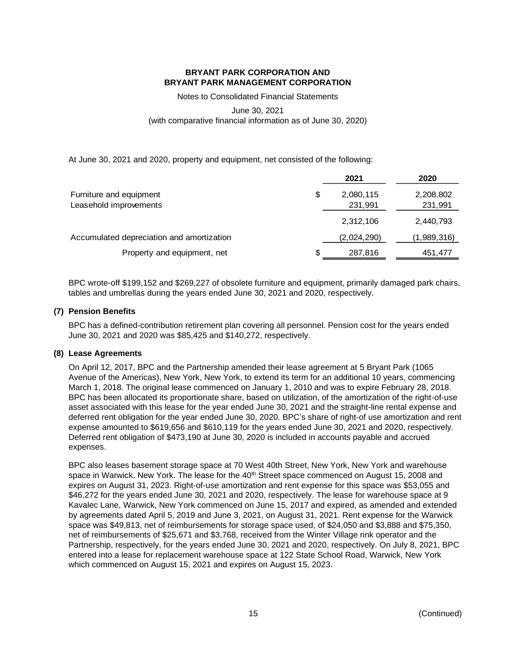Notes to Consolidated Financial Statements

# June 30, 2021 (with comparative financial information as of June 30, 2020)

At June 30, 2021 and 2020, property and equipment, net consisted of the following:

|                                           |     | 2021        | 2020        |
|-------------------------------------------|-----|-------------|-------------|
| Furniture and equipment                   | \$  | 2,080,115   | 2,208,802   |
| Leasehold improvements                    |     | 231,991     | 231,991     |
|                                           |     | 2,312,106   | 2,440,793   |
| Accumulated depreciation and amortization |     | (2,024,290) | (1,989,316) |
| Property and equipment, net               | \$. | 287,816     | 451,477     |

BPC wrote-off \$199,152 and \$269,227 of obsolete furniture and equipment, primarily damaged park chairs, tables and umbrellas during the years ended June 30, 2021 and 2020, respectively.

# **(7) Pension Benefits**

BPC has a defined-contribution retirement plan covering all personnel. Pension cost for the years ended June 30, 2021 and 2020 was \$85,425 and \$140,272, respectively.

# **(8) Lease Agreements**

On April 12, 2017, BPC and the Partnership amended their lease agreement at 5 Bryant Park (1065 Avenue of the Americas), New York, New York, to extend its term for an additional 10 years, commencing March 1, 2018. The original lease commenced on January 1, 2010 and was to expire February 28, 2018. BPC has been allocated its proportionate share, based on utilization, of the amortization of the right-of-use asset associated with this lease for the year ended June 30, 2021 and the straight-line rental expense and deferred rent obligation for the year ended June 30, 2020. BPC's share of right-of use amortization and rent expense amounted to \$619,656 and \$610,119 for the years ended June 30, 2021 and 2020, respectively. Deferred rent obligation of \$473,190 at June 30, 2020 is included in accounts payable and accrued expenses.

BPC also leases basement storage space at 70 West 40th Street, New York, New York and warehouse space in Warwick, New York. The lease for the 40<sup>th</sup> Street space commenced on August 15, 2008 and expires on August 31, 2023. Right-of-use amortization and rent expense for this space was \$53,055 and \$46,272 for the years ended June 30, 2021 and 2020, respectively. The lease for warehouse space at 9 Kavalec Lane, Warwick, New York commenced on June 15, 2017 and expired, as amended and extended by agreements dated April 5, 2019 and June 3, 2021, on August 31, 2021. Rent expense for the Warwick space was \$49,813, net of reimbursements for storage space used, of \$24,050 and \$3,888 and \$75,350, net of reimbursements of \$25,671 and \$3,768, received from the Winter Village rink operator and the Partnership, respectively, for the years ended June 30, 2021 and 2020, respectively. On July 8, 2021, BPC entered into a lease for replacement warehouse space at 122 State School Road, Warwick, New York which commenced on August 15, 2021 and expires on August 15, 2023.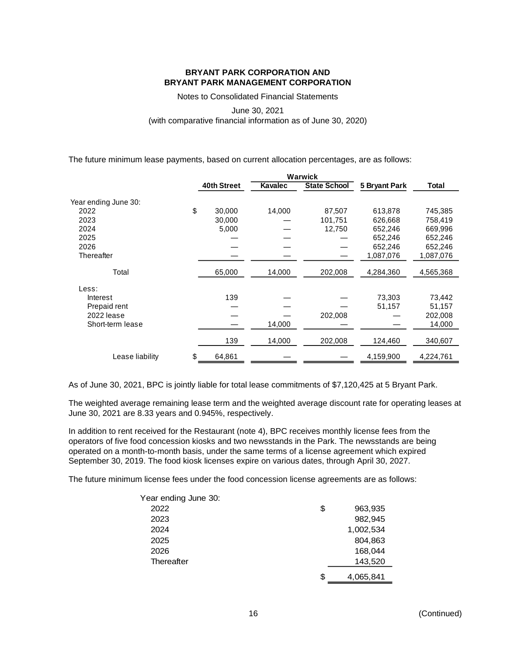Notes to Consolidated Financial Statements

# June 30, 2021 (with comparative financial information as of June 30, 2020)

The future minimum lease payments, based on current allocation percentages, are as follows:

|                      | Warwick     |        |                                |         |               |           |  |
|----------------------|-------------|--------|--------------------------------|---------|---------------|-----------|--|
|                      | 40th Street |        | <b>State School</b><br>Kavalec |         | 5 Bryant Park | Total     |  |
| Year ending June 30: |             |        |                                |         |               |           |  |
| 2022                 | \$          | 30,000 | 14,000                         | 87,507  | 613,878       | 745,385   |  |
| 2023                 |             | 30,000 |                                | 101,751 | 626,668       | 758,419   |  |
| 2024                 |             | 5,000  |                                | 12,750  | 652,246       | 669,996   |  |
| 2025                 |             |        |                                |         | 652,246       | 652,246   |  |
| 2026                 |             |        |                                |         | 652,246       | 652,246   |  |
| Thereafter           |             |        |                                |         | 1,087,076     | 1,087,076 |  |
| Total                |             | 65,000 | 14,000                         | 202,008 | 4,284,360     | 4,565,368 |  |
| Less:                |             |        |                                |         |               |           |  |
| Interest             |             | 139    |                                |         | 73,303        | 73,442    |  |
| Prepaid rent         |             |        |                                |         | 51,157        | 51,157    |  |
| 2022 lease           |             |        |                                | 202,008 |               | 202,008   |  |
| Short-term lease     |             |        | 14,000                         |         |               | 14,000    |  |
|                      |             | 139    | 14,000                         | 202,008 | 124,460       | 340,607   |  |
| Lease liability      | \$          | 64,861 |                                |         | 4,159,900     | 4,224,761 |  |

As of June 30, 2021, BPC is jointly liable for total lease commitments of \$7,120,425 at 5 Bryant Park.

The weighted average remaining lease term and the weighted average discount rate for operating leases at June 30, 2021 are 8.33 years and 0.945%, respectively.

In addition to rent received for the Restaurant (note 4), BPC receives monthly license fees from the operators of five food concession kiosks and two newsstands in the Park. The newsstands are being operated on a month-to-month basis, under the same terms of a license agreement which expired September 30, 2019. The food kiosk licenses expire on various dates, through April 30, 2027.

The future minimum license fees under the food concession license agreements are as follows:

| Year ending June 30: |                 |
|----------------------|-----------------|
| 2022                 | \$<br>963,935   |
| 2023                 | 982,945         |
| 2024                 | 1,002,534       |
| 2025                 | 804,863         |
| 2026                 | 168,044         |
| Thereafter           | 143,520         |
|                      | \$<br>4,065,841 |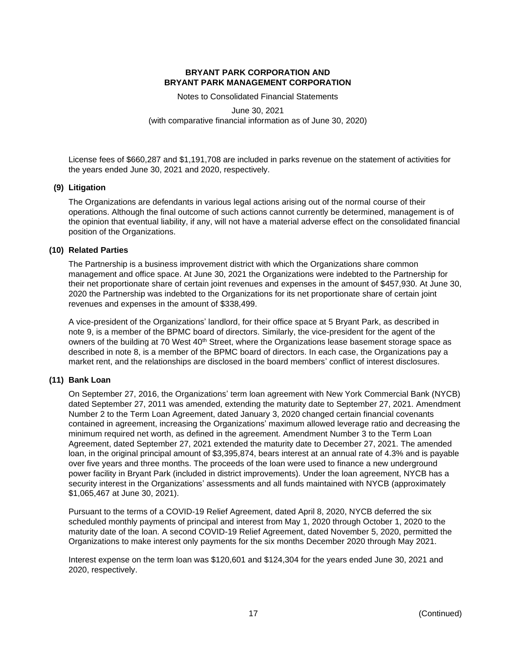Notes to Consolidated Financial Statements

June 30, 2021 (with comparative financial information as of June 30, 2020)

License fees of \$660,287 and \$1,191,708 are included in parks revenue on the statement of activities for the years ended June 30, 2021 and 2020, respectively.

### **(9) Litigation**

The Organizations are defendants in various legal actions arising out of the normal course of their operations. Although the final outcome of such actions cannot currently be determined, management is of the opinion that eventual liability, if any, will not have a material adverse effect on the consolidated financial position of the Organizations.

### **(10) Related Parties**

The Partnership is a business improvement district with which the Organizations share common management and office space. At June 30, 2021 the Organizations were indebted to the Partnership for their net proportionate share of certain joint revenues and expenses in the amount of \$457,930. At June 30, 2020 the Partnership was indebted to the Organizations for its net proportionate share of certain joint revenues and expenses in the amount of \$338,499.

A vice-president of the Organizations' landlord, for their office space at 5 Bryant Park, as described in note 9, is a member of the BPMC board of directors. Similarly, the vice-president for the agent of the owners of the building at 70 West 40<sup>th</sup> Street, where the Organizations lease basement storage space as described in note 8, is a member of the BPMC board of directors. In each case, the Organizations pay a market rent, and the relationships are disclosed in the board members' conflict of interest disclosures.

### **(11) Bank Loan**

On September 27, 2016, the Organizations' term loan agreement with New York Commercial Bank (NYCB) dated September 27, 2011 was amended, extending the maturity date to September 27, 2021. Amendment Number 2 to the Term Loan Agreement, dated January 3, 2020 changed certain financial covenants contained in agreement, increasing the Organizations' maximum allowed leverage ratio and decreasing the minimum required net worth, as defined in the agreement. Amendment Number 3 to the Term Loan Agreement, dated September 27, 2021 extended the maturity date to December 27, 2021. The amended loan, in the original principal amount of \$3,395,874, bears interest at an annual rate of 4.3% and is payable over five years and three months. The proceeds of the loan were used to finance a new underground power facility in Bryant Park (included in district improvements). Under the loan agreement, NYCB has a security interest in the Organizations' assessments and all funds maintained with NYCB (approximately \$1,065,467 at June 30, 2021).

Pursuant to the terms of a COVID-19 Relief Agreement, dated April 8, 2020, NYCB deferred the six scheduled monthly payments of principal and interest from May 1, 2020 through October 1, 2020 to the maturity date of the loan. A second COVID-19 Relief Agreement, dated November 5, 2020, permitted the Organizations to make interest only payments for the six months December 2020 through May 2021.

Interest expense on the term loan was \$120,601 and \$124,304 for the years ended June 30, 2021 and 2020, respectively.